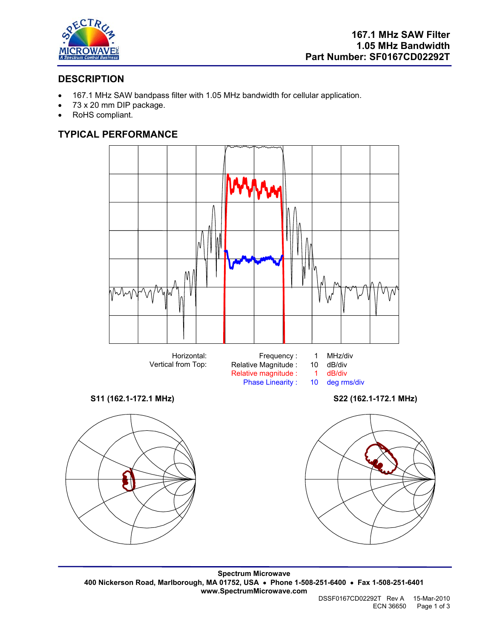

# **DESCRIPTION**

- 167.1 MHz SAW bandpass filter with 1.05 MHz bandwidth for cellular application.
- 73 x 20 mm DIP package.
- RoHS compliant.

# **TYPICAL PERFORMANCE**



**Spectrum Microwave 400 Nickerson Road, Marlborough, MA 01752, USA** • **Phone 1-508-251-6400** • **Fax 1-508-251-6401 www.SpectrumMicrowave.com**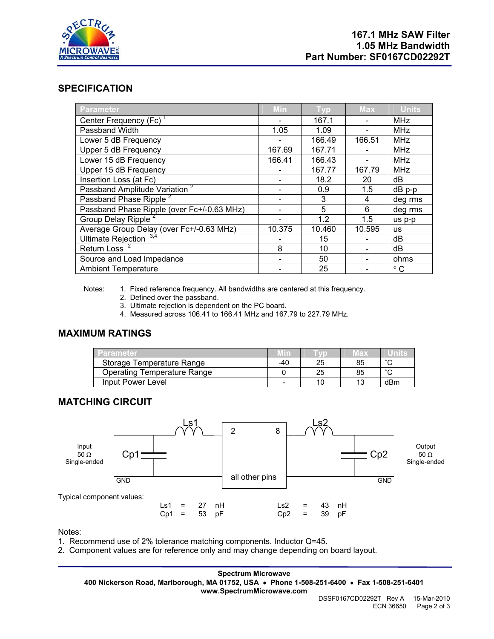

## **SPECIFICATION**

| <b>Parameter</b>                           | Min    | <b>Typ</b> | <b>Max</b> | <b>Units</b> |
|--------------------------------------------|--------|------------|------------|--------------|
| Center Frequency (Fc)                      |        | 167.1      |            | <b>MHz</b>   |
| Passband Width                             | 1.05   | 1.09       |            | <b>MHz</b>   |
| Lower 5 dB Frequency                       |        | 166.49     | 166.51     | <b>MHz</b>   |
| Upper 5 dB Frequency                       | 167.69 | 167.71     |            | <b>MHz</b>   |
| Lower 15 dB Frequency                      | 166.41 | 166.43     |            | <b>MHz</b>   |
| Upper 15 dB Frequency                      |        | 167.77     | 167.79     | <b>MHz</b>   |
| Insertion Loss (at Fc)                     |        | 18.2       | 20         | dB           |
| Passband Amplitude Variation <sup>2</sup>  |        | 0.9        | 1.5        | $dB$ p-p     |
| Passband Phase Ripple <sup>2</sup>         |        | 3          | 4          | deg rms      |
| Passband Phase Ripple (over Fc+/-0.63 MHz) |        | 5          | 6          | deg rms      |
| Group Delay Ripple <sup>2</sup>            |        | 1.2        | 1.5        | us p-p       |
| Average Group Delay (over Fc+/-0.63 MHz)   | 10.375 | 10.460     | 10.595     | <b>us</b>    |
| Ultimate Rejection $3,4$                   |        | 15         |            | dB           |
| <b>Return Loss</b>                         | 8      | 10         |            | dB           |
| Source and Load Impedance                  |        | 50         |            | ohms         |
| <b>Ambient Temperature</b>                 |        | 25         |            | $^{\circ}$ C |

Notes: 1. Fixed reference frequency. All bandwidths are centered at this frequency.

- 2. Defined over the passband.
- 3. Ultimate rejection is dependent on the PC board.
- 4. Measured across 106.41 to 166.41 MHz and 167.79 to 227.79 MHz.

## **MAXIMUM RATINGS**

| Parametek                          |     |    | 76 D. |        |
|------------------------------------|-----|----|-------|--------|
| Storage Temperature Range          | -40 | 25 | 85    | $\sim$ |
| <b>Operating Temperature Range</b> |     | 25 | 85    | $\sim$ |
| Input Power Level                  | -   |    | 13    | dBm    |

#### **MATCHING CIRCUIT**



Notes:

- 1. Recommend use of 2% tolerance matching components. Inductor Q=45.
- 2. Component values are for reference only and may change depending on board layout.

**Spectrum Microwave 400 Nickerson Road, Marlborough, MA 01752, USA** • **Phone 1-508-251-6400** • **Fax 1-508-251-6401 www.SpectrumMicrowave.com**